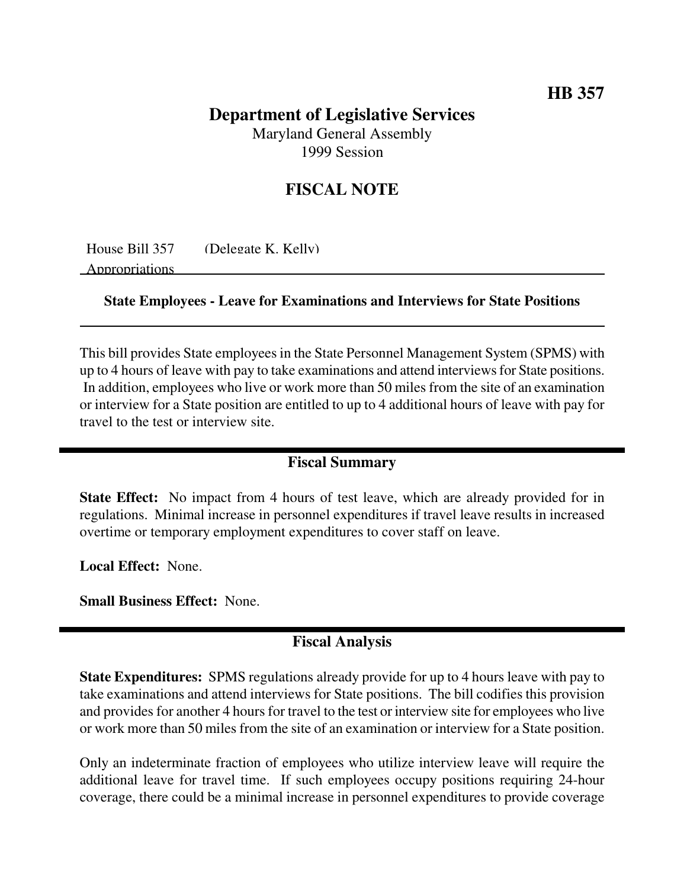# **HB 357**

## **Department of Legislative Services** Maryland General Assembly

1999 Session

## **FISCAL NOTE**

House Bill 357 (Delegate K. Kelly)

Appropriations

**State Employees - Leave for Examinations and Interviews for State Positions**

This bill provides State employees in the State Personnel Management System (SPMS) with up to 4 hours of leave with pay to take examinations and attend interviewsfor State positions. In addition, employees who live or work more than 50 miles from the site of an examination or interview for a State position are entitled to up to 4 additional hours of leave with pay for travel to the test or interview site.

#### **Fiscal Summary**

**State Effect:** No impact from 4 hours of test leave, which are already provided for in regulations. Minimal increase in personnel expenditures if travel leave results in increased overtime or temporary employment expenditures to cover staff on leave.

**Local Effect:** None.

**Small Business Effect:** None.

## **Fiscal Analysis**

**State Expenditures:** SPMS regulations already provide for up to 4 hours leave with pay to take examinations and attend interviews for State positions. The bill codifies this provision and provides for another 4 hours for travel to the test or interview site for employees who live or work more than 50 miles from the site of an examination or interview for a State position.

Only an indeterminate fraction of employees who utilize interview leave will require the additional leave for travel time. If such employees occupy positions requiring 24-hour coverage, there could be a minimal increase in personnel expenditures to provide coverage